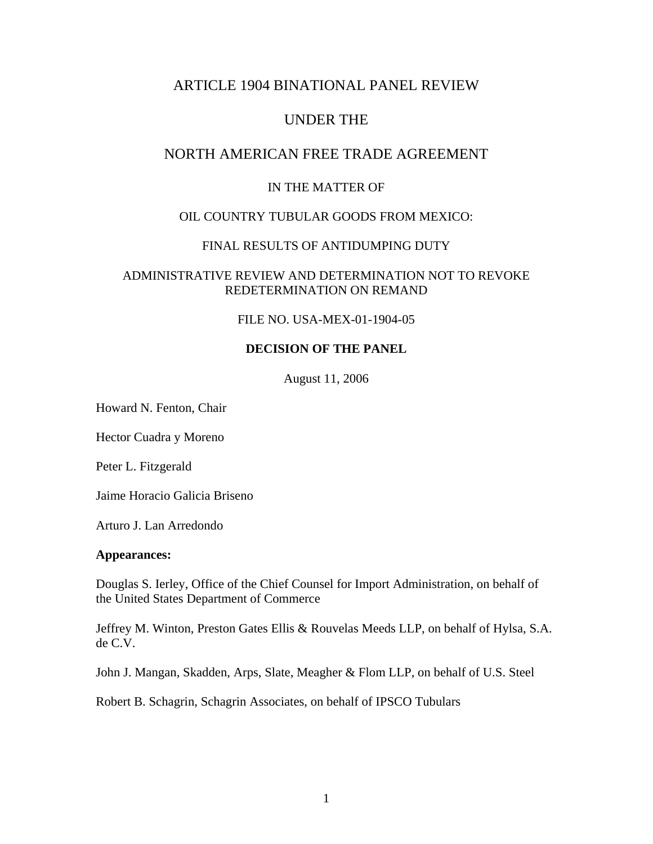# ARTICLE 1904 BINATIONAL PANEL REVIEW

# UNDER THE

# NORTH AMERICAN FREE TRADE AGREEMENT

### IN THE MATTER OF

## OIL COUNTRY TUBULAR GOODS FROM MEXICO:

### FINAL RESULTS OF ANTIDUMPING DUTY

### ADMINISTRATIVE REVIEW AND DETERMINATION NOT TO REVOKE REDETERMINATION ON REMAND

### FILE NO. USA-MEX-01-1904-05

## **DECISION OF THE PANEL**

August 11, 2006

Howard N. Fenton, Chair

Hector Cuadra y Moreno

Peter L. Fitzgerald

Jaime Horacio Galicia Briseno

Arturo J. Lan Arredondo

#### **Appearances:**

Douglas S. Ierley, Office of the Chief Counsel for Import Administration, on behalf of the United States Department of Commerce

Jeffrey M. Winton, Preston Gates Ellis & Rouvelas Meeds LLP, on behalf of Hylsa, S.A. de C.V.

John J. Mangan, Skadden, Arps, Slate, Meagher & Flom LLP, on behalf of U.S. Steel

Robert B. Schagrin, Schagrin Associates, on behalf of IPSCO Tubulars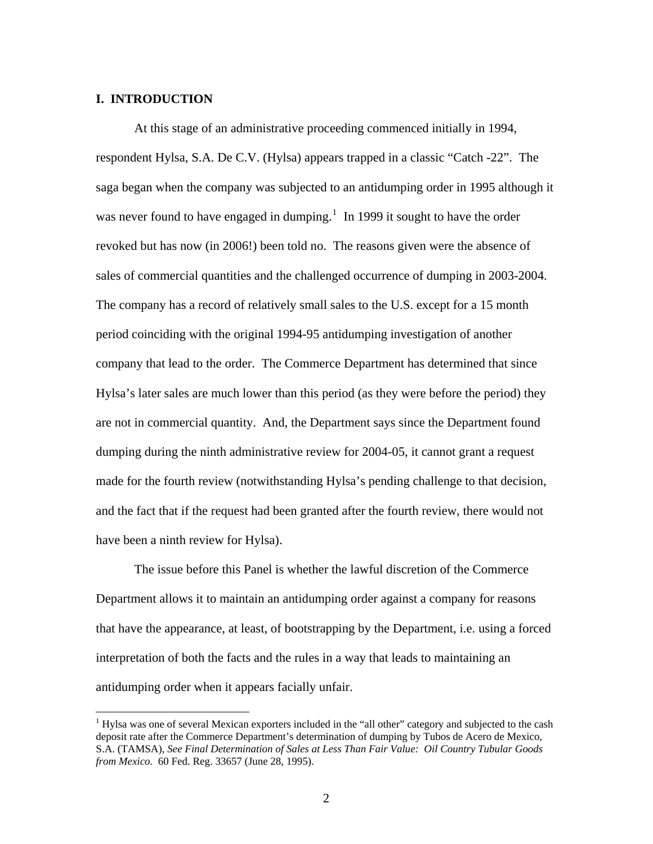#### **I. INTRODUCTION**

 $\overline{a}$ 

At this stage of an administrative proceeding commenced initially in 1994, respondent Hylsa, S.A. De C.V. (Hylsa) appears trapped in a classic "Catch -22". The saga began when the company was subjected to an antidumping order in 1995 although it was never found to have engaged in dumping. $<sup>1</sup>$  $<sup>1</sup>$  $<sup>1</sup>$  In 1999 it sought to have the order</sup> revoked but has now (in 2006!) been told no. The reasons given were the absence of sales of commercial quantities and the challenged occurrence of dumping in 2003-2004. The company has a record of relatively small sales to the U.S. except for a 15 month period coinciding with the original 1994-95 antidumping investigation of another company that lead to the order. The Commerce Department has determined that since Hylsa's later sales are much lower than this period (as they were before the period) they are not in commercial quantity. And, the Department says since the Department found dumping during the ninth administrative review for 2004-05, it cannot grant a request made for the fourth review (notwithstanding Hylsa's pending challenge to that decision, and the fact that if the request had been granted after the fourth review, there would not have been a ninth review for Hylsa).

 The issue before this Panel is whether the lawful discretion of the Commerce Department allows it to maintain an antidumping order against a company for reasons that have the appearance, at least, of bootstrapping by the Department, i.e. using a forced interpretation of both the facts and the rules in a way that leads to maintaining an antidumping order when it appears facially unfair.

<span id="page-1-0"></span><sup>&</sup>lt;sup>1</sup> Hylsa was one of several Mexican exporters included in the "all other" category and subjected to the cash deposit rate after the Commerce Department's determination of dumping by Tubos de Acero de Mexico, S.A. (TAMSA), *See Final Determination of Sales at Less Than Fair Value: Oil Country Tubular Goods from Mexico.* 60 Fed. Reg. 33657 (June 28, 1995).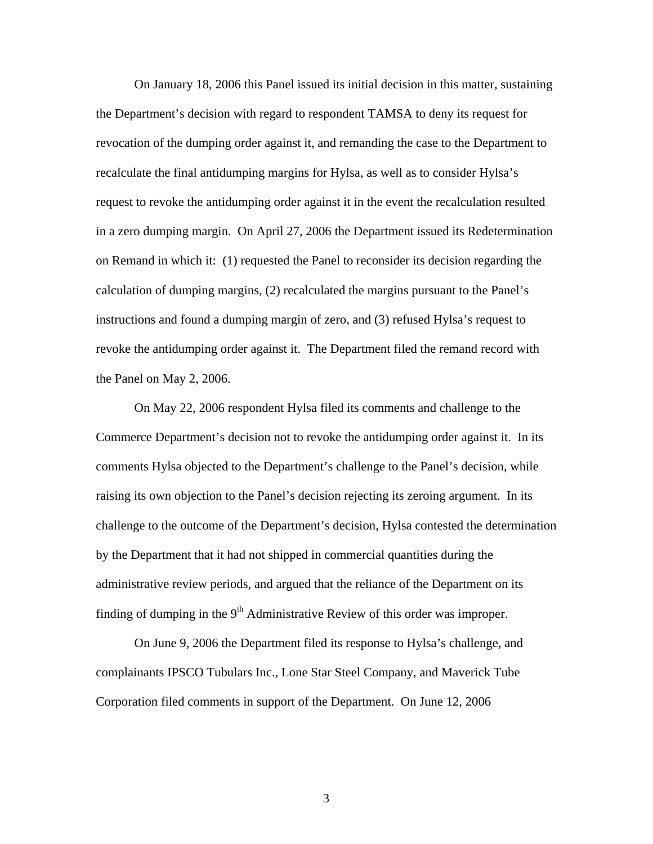On January 18, 2006 this Panel issued its initial decision in this matter, sustaining the Department's decision with regard to respondent TAMSA to deny its request for revocation of the dumping order against it, and remanding the case to the Department to recalculate the final antidumping margins for Hylsa, as well as to consider Hylsa's request to revoke the antidumping order against it in the event the recalculation resulted in a zero dumping margin. On April 27, 2006 the Department issued its Redetermination on Remand in which it: (1) requested the Panel to reconsider its decision regarding the calculation of dumping margins, (2) recalculated the margins pursuant to the Panel's instructions and found a dumping margin of zero, and (3) refused Hylsa's request to revoke the antidumping order against it. The Department filed the remand record with the Panel on May 2, 2006.

 On May 22, 2006 respondent Hylsa filed its comments and challenge to the Commerce Department's decision not to revoke the antidumping order against it. In its comments Hylsa objected to the Department's challenge to the Panel's decision, while raising its own objection to the Panel's decision rejecting its zeroing argument. In its challenge to the outcome of the Department's decision, Hylsa contested the determination by the Department that it had not shipped in commercial quantities during the administrative review periods, and argued that the reliance of the Department on its finding of dumping in the  $9<sup>th</sup>$  Administrative Review of this order was improper.

 On June 9, 2006 the Department filed its response to Hylsa's challenge, and complainants IPSCO Tubulars Inc., Lone Star Steel Company, and Maverick Tube Corporation filed comments in support of the Department. On June 12, 2006

3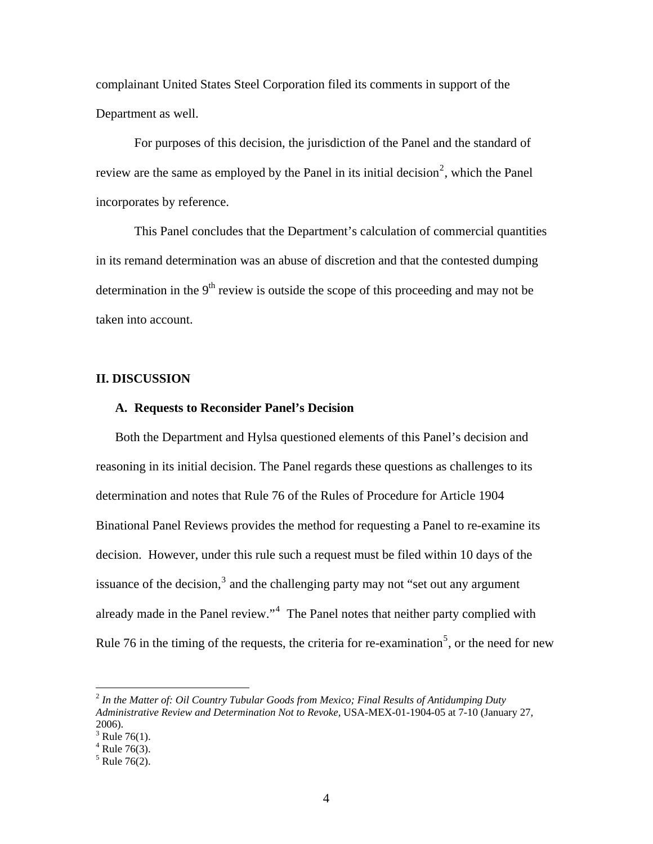complainant United States Steel Corporation filed its comments in support of the Department as well.

 For purposes of this decision, the jurisdiction of the Panel and the standard of review are the same as employed by the Panel in its initial decision<sup>[2](#page-3-0)</sup>, which the Panel incorporates by reference.

This Panel concludes that the Department's calculation of commercial quantities in its remand determination was an abuse of discretion and that the contested dumping determination in the  $9<sup>th</sup>$  review is outside the scope of this proceeding and may not be taken into account.

#### **II. DISCUSSION**

#### **A. Requests to Reconsider Panel's Decision**

Both the Department and Hylsa questioned elements of this Panel's decision and reasoning in its initial decision. The Panel regards these questions as challenges to its determination and notes that Rule 76 of the Rules of Procedure for Article 1904 Binational Panel Reviews provides the method for requesting a Panel to re-examine its decision. However, under this rule such a request must be filed within 10 days of the issuance of the decision, $3$  and the challenging party may not "set out any argument already made in the Panel review."<sup>[4](#page-3-2)</sup> The Panel notes that neither party complied with Rule 76 in the timing of the requests, the criteria for re-examination<sup>[5](#page-3-3)</sup>, or the need for new

<span id="page-3-0"></span><sup>2</sup> *In the Matter of: Oil Country Tubular Goods from Mexico; Final Results of Antidumping Duty Administrative Review and Determination Not to Revoke,* USA-MEX-01-1904-05 at 7-10 (January 27, 2006).

<span id="page-3-2"></span><span id="page-3-1"></span> $3$  Rule 76(1).

<span id="page-3-3"></span> $4$  Rule 76(3).

 $5$  Rule 76(2).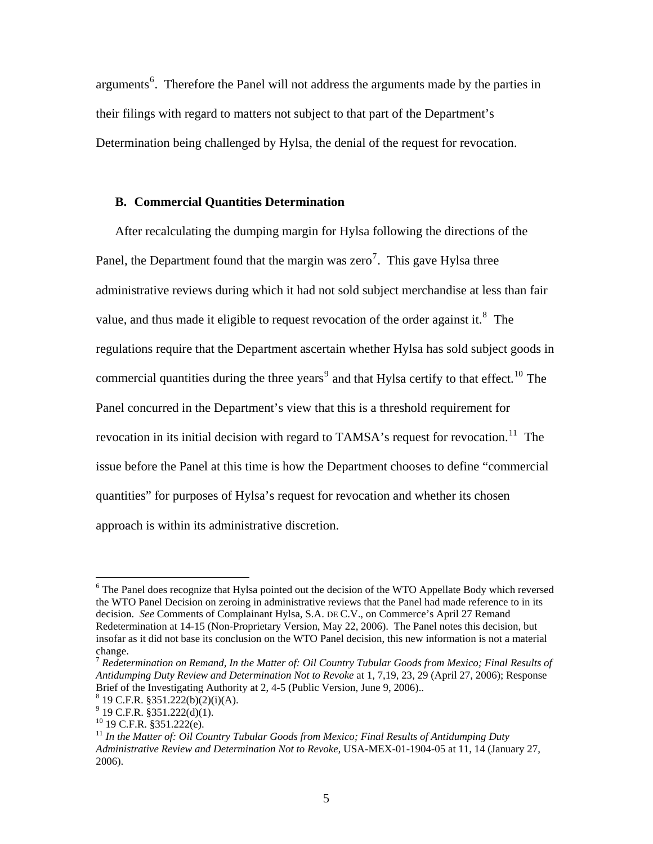arguments<sup>[6](#page-4-0)</sup>. Therefore the Panel will not address the arguments made by the parties in their filings with regard to matters not subject to that part of the Department's Determination being challenged by Hylsa, the denial of the request for revocation.

### **B. Commercial Quantities Determination**

After recalculating the dumping margin for Hylsa following the directions of the Panel, the Department found that the margin was zero<sup>[7](#page-4-1)</sup>. This gave Hylsa three administrative reviews during which it had not sold subject merchandise at less than fair value, and thus made it eligible to request revocation of the order against it.<sup>[8](#page-4-2)</sup> The regulations require that the Department ascertain whether Hylsa has sold subject goods in commercial quantities during the three years<sup>[9](#page-4-3)</sup> and that Hylsa certify to that effect.<sup>10</sup> The Panel concurred in the Department's view that this is a threshold requirement for revocation in its initial decision with regard to TAMSA's request for revocation.<sup>[11](#page-4-5)</sup> The issue before the Panel at this time is how the Department chooses to define "commercial quantities" for purposes of Hylsa's request for revocation and whether its chosen approach is within its administrative discretion.

<span id="page-4-0"></span><sup>&</sup>lt;sup>6</sup> The Panel does recognize that Hylsa pointed out the decision of the WTO Appellate Body which reversed the WTO Panel Decision on zeroing in administrative reviews that the Panel had made reference to in its decision. *See* Comments of Complainant Hylsa, S.A. DE C.V., on Commerce's April 27 Remand Redetermination at 14-15 (Non-Proprietary Version, May 22, 2006). The Panel notes this decision, but insofar as it did not base its conclusion on the WTO Panel decision, this new information is not a material change.

<span id="page-4-1"></span><sup>7</sup> *Redetermination on Remand, In the Matter of: Oil Country Tubular Goods from Mexico; Final Results of Antidumping Duty Review and Determination Not to Revoke* at 1, 7,19, 23, 29 (April 27, 2006); Response Brief of the Investigating Authority at 2, 4-5 (Public Version, June 9, 2006)..

<span id="page-4-2"></span> $8 \text{ 19 C.F.R. } $351.222(b)(2)(i)(A).$ 

 $9^9$  19 C.F.R. §351.222(d)(1).

<span id="page-4-4"></span><span id="page-4-3"></span> $10$  19 C.F.R. §351.222(e).

<span id="page-4-5"></span><sup>&</sup>lt;sup>11</sup> In the Matter of: Oil Country Tubular Goods from Mexico; Final Results of Antidumping Duty *Administrative Review and Determination Not to Revoke,* USA-MEX-01-1904-05 at 11, 14 (January 27, 2006).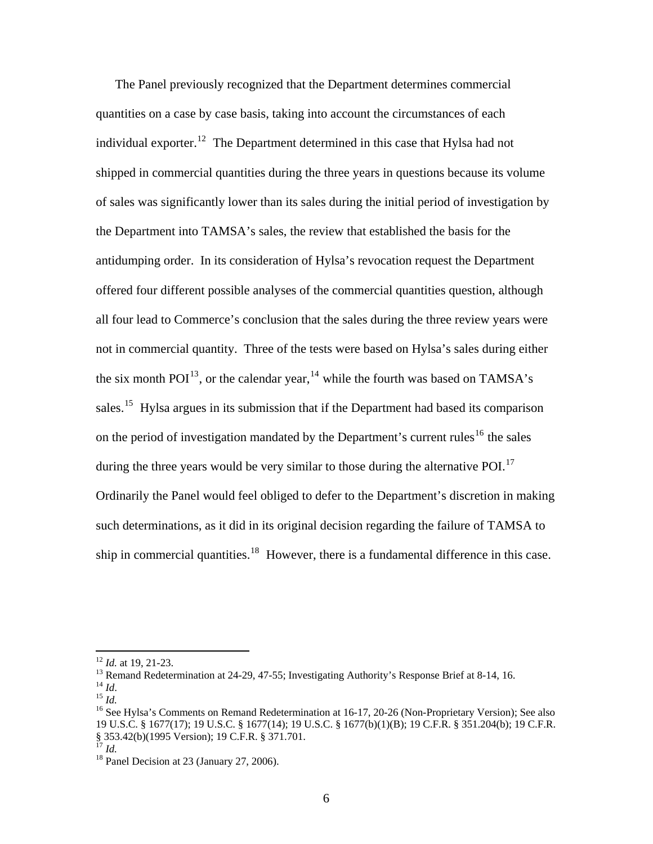The Panel previously recognized that the Department determines commercial quantities on a case by case basis, taking into account the circumstances of each individual exporter.<sup>[12](#page-5-0)</sup> The Department determined in this case that Hylsa had not shipped in commercial quantities during the three years in questions because its volume of sales was significantly lower than its sales during the initial period of investigation by the Department into TAMSA's sales, the review that established the basis for the antidumping order. In its consideration of Hylsa's revocation request the Department offered four different possible analyses of the commercial quantities question, although all four lead to Commerce's conclusion that the sales during the three review years were not in commercial quantity. Three of the tests were based on Hylsa's sales during either the six month  $POI<sup>13</sup>$  $POI<sup>13</sup>$  $POI<sup>13</sup>$ , or the calendar year,  $14$  while the fourth was based on TAMSA's sales.<sup>[15](#page-5-3)</sup> Hylsa argues in its submission that if the Department had based its comparison on the period of investigation mandated by the Department's current rules<sup>[16](#page-5-4)</sup> the sales during the three years would be very similar to those during the alternative POI. $^{17}$  $^{17}$  $^{17}$ Ordinarily the Panel would feel obliged to defer to the Department's discretion in making such determinations, as it did in its original decision regarding the failure of TAMSA to ship in commercial quantities.<sup>[18](#page-5-6)</sup> However, there is a fundamental difference in this case.

<span id="page-5-1"></span><span id="page-5-0"></span><sup>&</sup>lt;sup>12</sup> *Id.* at 19, 21-23.<br><sup>13</sup> Remand Redetermination at 24-29, 47-55; Investigating Authority's Response Brief at 8-14, 16.<br><sup>14</sup> *Id.* 

<span id="page-5-4"></span><span id="page-5-3"></span><span id="page-5-2"></span><sup>&</sup>lt;sup>15</sup> *Id.*<br><sup>16</sup> See Hylsa's Comments on Remand Redetermination at 16-17, 20-26 (Non-Proprietary Version); See also 19 U.S.C. § 1677(17); 19 U.S.C. § 1677(14); 19 U.S.C. § 1677(b)(1)(B); 19 C.F.R. § 351.204(b); 19 C.F.R. § 353.42(b)(1995 Version); 19 C.F.R. § 371.701.<br><sup>17</sup> Id

<span id="page-5-6"></span><span id="page-5-5"></span><sup>&</sup>lt;sup>18</sup> Panel Decision at 23 (January 27, 2006).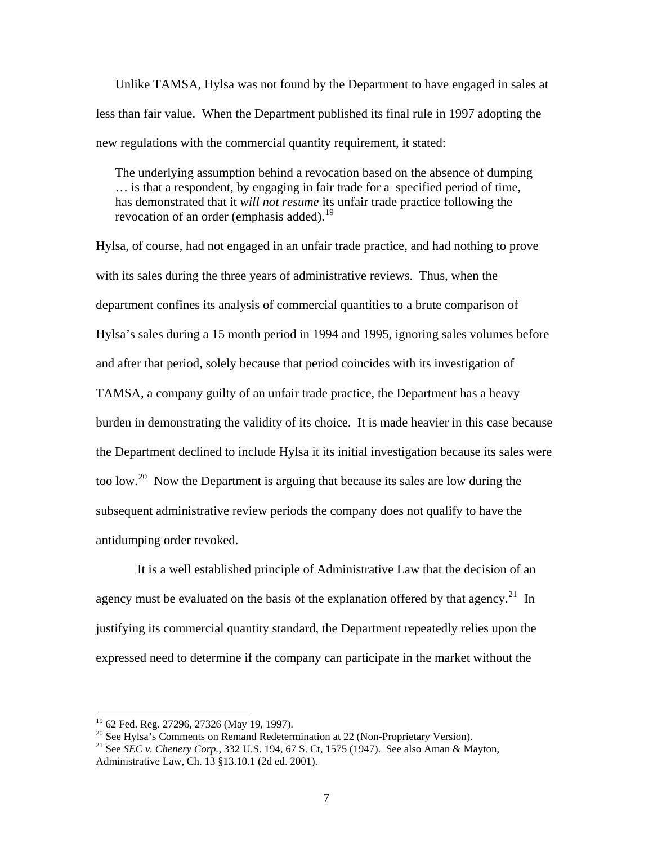Unlike TAMSA, Hylsa was not found by the Department to have engaged in sales at less than fair value. When the Department published its final rule in 1997 adopting the new regulations with the commercial quantity requirement, it stated:

The underlying assumption behind a revocation based on the absence of dumping … is that a respondent, by engaging in fair trade for a specified period of time, has demonstrated that it *will not resume* its unfair trade practice following the revocation of an order (emphasis added).<sup>[19](#page-6-0)</sup>

Hylsa, of course, had not engaged in an unfair trade practice, and had nothing to prove with its sales during the three years of administrative reviews. Thus, when the department confines its analysis of commercial quantities to a brute comparison of Hylsa's sales during a 15 month period in 1994 and 1995, ignoring sales volumes before and after that period, solely because that period coincides with its investigation of TAMSA, a company guilty of an unfair trade practice, the Department has a heavy burden in demonstrating the validity of its choice. It is made heavier in this case because the Department declined to include Hylsa it its initial investigation because its sales were too low.<sup>[20](#page-6-1)</sup> Now the Department is arguing that because its sales are low during the subsequent administrative review periods the company does not qualify to have the antidumping order revoked.

 It is a well established principle of Administrative Law that the decision of an agency must be evaluated on the basis of the explanation offered by that agency.<sup>[21](#page-6-2)</sup> In justifying its commercial quantity standard, the Department repeatedly relies upon the expressed need to determine if the company can participate in the market without the

 $\overline{a}$ 

<span id="page-6-1"></span><span id="page-6-0"></span> $20$  See Hylsa's Comments on Remand Redetermination at 22 (Non-Proprietary Version).

<sup>&</sup>lt;sup>19</sup> 62 Fed. Reg. 27296, 27326 (May 19, 1997).

<span id="page-6-2"></span><sup>21</sup> See *SEC v. Chenery Corp.,* 332 U.S. 194, 67 S. Ct, 1575 (1947). See also Aman & Mayton, Administrative Law, Ch. 13 §13.10.1 (2d ed. 2001).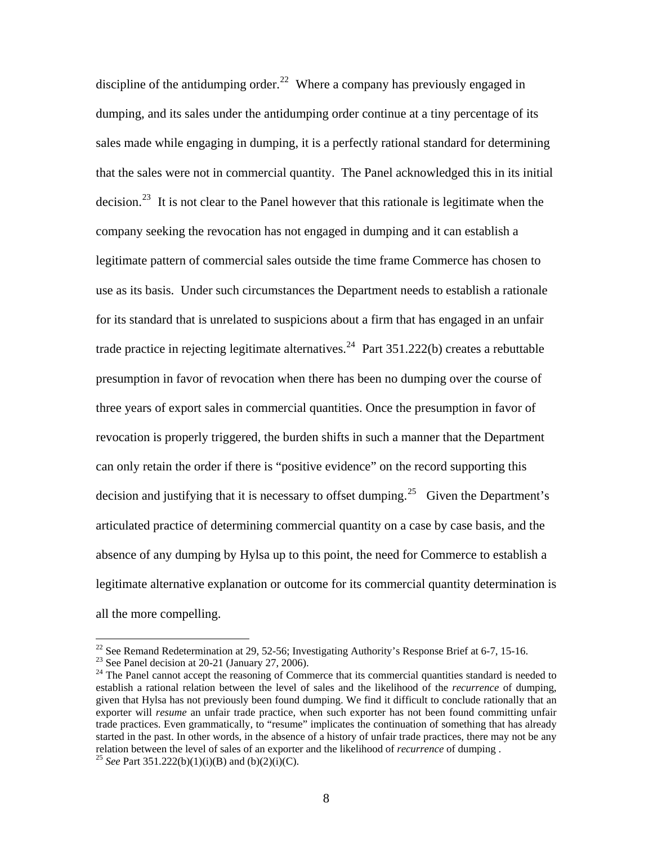discipline of the antidumping order.<sup>[22](#page-7-0)</sup> Where a company has previously engaged in dumping, and its sales under the antidumping order continue at a tiny percentage of its sales made while engaging in dumping, it is a perfectly rational standard for determining that the sales were not in commercial quantity. The Panel acknowledged this in its initial decision.<sup>[23](#page-7-1)</sup> It is not clear to the Panel however that this rationale is legitimate when the company seeking the revocation has not engaged in dumping and it can establish a legitimate pattern of commercial sales outside the time frame Commerce has chosen to use as its basis. Under such circumstances the Department needs to establish a rationale for its standard that is unrelated to suspicions about a firm that has engaged in an unfair trade practice in rejecting legitimate alternatives.<sup>[24](#page-7-2)</sup> Part  $351.222(b)$  creates a rebuttable presumption in favor of revocation when there has been no dumping over the course of three years of export sales in commercial quantities. Once the presumption in favor of revocation is properly triggered, the burden shifts in such a manner that the Department can only retain the order if there is "positive evidence" on the record supporting this decision and justifying that it is necessary to offset dumping.<sup>[25](#page-7-3)</sup> Given the Department's articulated practice of determining commercial quantity on a case by case basis, and the absence of any dumping by Hylsa up to this point, the need for Commerce to establish a legitimate alternative explanation or outcome for its commercial quantity determination is all the more compelling.

<span id="page-7-0"></span><sup>&</sup>lt;sup>22</sup> See Remand Redetermination at 29, 52-56; Investigating Authority's Response Brief at 6-7, 15-16.

<span id="page-7-1"></span> $23$  See Panel decision at 20-21 (January 27, 2006).

<span id="page-7-2"></span><sup>&</sup>lt;sup>24</sup> The Panel cannot accept the reasoning of Commerce that its commercial quantities standard is needed to establish a rational relation between the level of sales and the likelihood of the *recurrence* of dumping, given that Hylsa has not previously been found dumping. We find it difficult to conclude rationally that an exporter will *resume* an unfair trade practice, when such exporter has not been found committing unfair trade practices. Even grammatically, to "resume" implicates the continuation of something that has already started in the past. In other words, in the absence of a history of unfair trade practices, there may not be any relation between the level of sales of an exporter and the likelihood of *recurrence* of dumping . <sup>25</sup> *See* Part 351.222(b)(1)(i)(B) and (b)(2)(i)(C).

<span id="page-7-3"></span>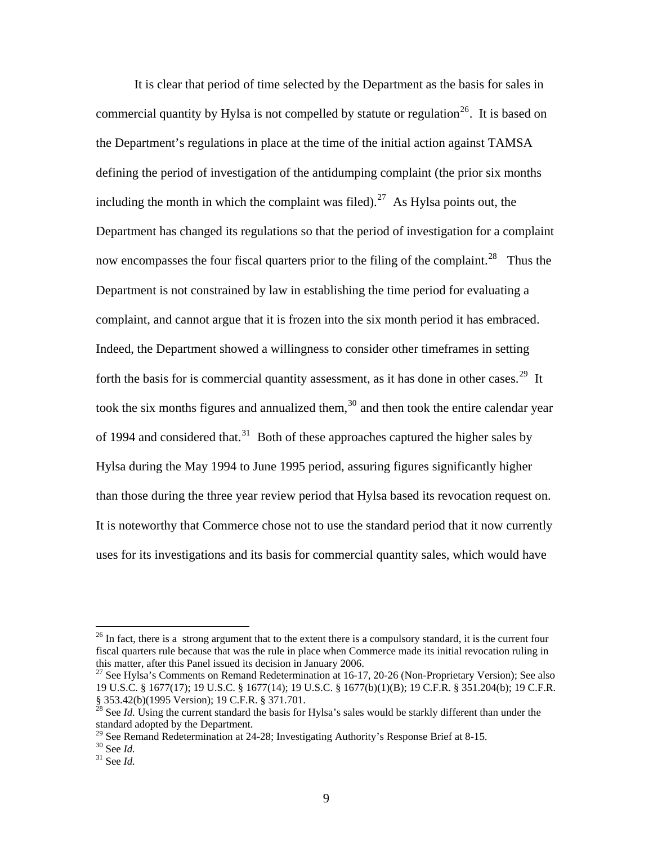It is clear that period of time selected by the Department as the basis for sales in commercial quantity by Hylsa is not compelled by statute or regulation<sup>[26](#page-8-0)</sup>. It is based on the Department's regulations in place at the time of the initial action against TAMSA defining the period of investigation of the antidumping complaint (the prior six months including the month in which the complaint was filed).<sup>[27](#page-8-1)</sup> As Hylsa points out, the Department has changed its regulations so that the period of investigation for a complaint now encompasses the four fiscal quarters prior to the filing of the complaint.<sup>[28](#page-8-2)</sup> Thus the Department is not constrained by law in establishing the time period for evaluating a complaint, and cannot argue that it is frozen into the six month period it has embraced. Indeed, the Department showed a willingness to consider other timeframes in setting forth the basis for is commercial quantity assessment, as it has done in other cases.<sup>[29](#page-8-3)</sup> It took the six months figures and annualized them,  $30$  and then took the entire calendar year of 1994 and considered that.<sup>[31](#page-8-5)</sup> Both of these approaches captured the higher sales by Hylsa during the May 1994 to June 1995 period, assuring figures significantly higher than those during the three year review period that Hylsa based its revocation request on. It is noteworthy that Commerce chose not to use the standard period that it now currently uses for its investigations and its basis for commercial quantity sales, which would have

<span id="page-8-0"></span><sup>&</sup>lt;sup>26</sup> In fact, there is a strong argument that to the extent there is a compulsory standard, it is the current four fiscal quarters rule because that was the rule in place when Commerce made its initial revocation ruling in this matter, after this Panel issued its decision in January 2006.

<span id="page-8-1"></span><sup>&</sup>lt;sup>27</sup> See Hylsa's Comments on Remand Redetermination at 16-17, 20-26 (Non-Proprietary Version); See also 19 U.S.C. § 1677(17); 19 U.S.C. § 1677(14); 19 U.S.C. § 1677(b)(1)(B); 19 C.F.R. § 351.204(b); 19 C.F.R. § 353.42(b)(1995 Version); 19 C.F.R. § 371.701.

<span id="page-8-2"></span><sup>&</sup>lt;sup>28</sup> See *Id.* Using the current standard the basis for Hylsa's sales would be starkly different than under the standard adopted by the Department.

 $^{29}$  See Remand Redetermination at 24-28; Investigating Authority's Response Brief at 8-15.

<span id="page-8-5"></span><span id="page-8-4"></span><span id="page-8-3"></span><sup>30</sup> See *Id.* 31 See *Id.*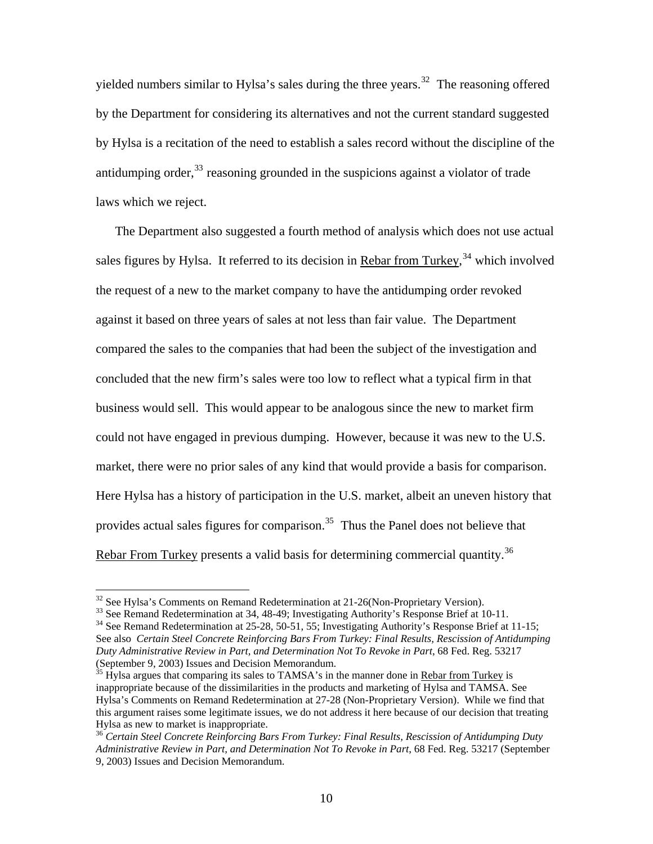yielded numbers similar to Hylsa's sales during the three years.<sup>[32](#page-9-0)</sup> The reasoning offered by the Department for considering its alternatives and not the current standard suggested by Hylsa is a recitation of the need to establish a sales record without the discipline of the antidumping order,  $33$  reasoning grounded in the suspicions against a violator of trade laws which we reject.

The Department also suggested a fourth method of analysis which does not use actual sales figures by Hylsa. It referred to its decision in Rebar from Turkey,<sup>[34](#page-9-2)</sup> which involved the request of a new to the market company to have the antidumping order revoked against it based on three years of sales at not less than fair value. The Department compared the sales to the companies that had been the subject of the investigation and concluded that the new firm's sales were too low to reflect what a typical firm in that business would sell. This would appear to be analogous since the new to market firm could not have engaged in previous dumping. However, because it was new to the U.S. market, there were no prior sales of any kind that would provide a basis for comparison. Here Hylsa has a history of participation in the U.S. market, albeit an uneven history that provides actual sales figures for comparison.<sup>[35](#page-9-3)</sup> Thus the Panel does not believe that Rebar From Turkey presents a valid basis for determining commercial quantity.<sup>[36](#page-9-4)</sup>

<span id="page-9-0"></span> $32$  See Hylsa's Comments on Remand Redetermination at 21-26(Non-Proprietary Version).

<span id="page-9-1"></span><sup>&</sup>lt;sup>33</sup> See Remand Redetermination at 34, 48-49; Investigating Authority's Response Brief at 10-11.

<span id="page-9-2"></span><sup>&</sup>lt;sup>34</sup> See Remand Redetermination at 25-28, 50-51, 55; Investigating Authority's Response Brief at 11-15; See also *Certain Steel Concrete Reinforcing Bars From Turkey: Final Results, Rescission of Antidumping Duty Administrative Review in Part, and Determination Not To Revoke in Part*, 68 Fed. Reg. 53217 (September 9, 2003) Issues and Decision Memorandum.

<span id="page-9-3"></span> $35$  Hylsa argues that comparing its sales to TAMSA's in the manner done in Rebar from Turkey is inappropriate because of the dissimilarities in the products and marketing of Hylsa and TAMSA. See Hylsa's Comments on Remand Redetermination at 27-28 (Non-Proprietary Version). While we find that this argument raises some legitimate issues, we do not address it here because of our decision that treating Hylsa as new to market is inappropriate.

<span id="page-9-4"></span><sup>36</sup> *Certain Steel Concrete Reinforcing Bars From Turkey: Final Results, Rescission of Antidumping Duty Administrative Review in Part, and Determination Not To Revoke in Part*, 68 Fed. Reg. 53217 (September 9, 2003) Issues and Decision Memorandum.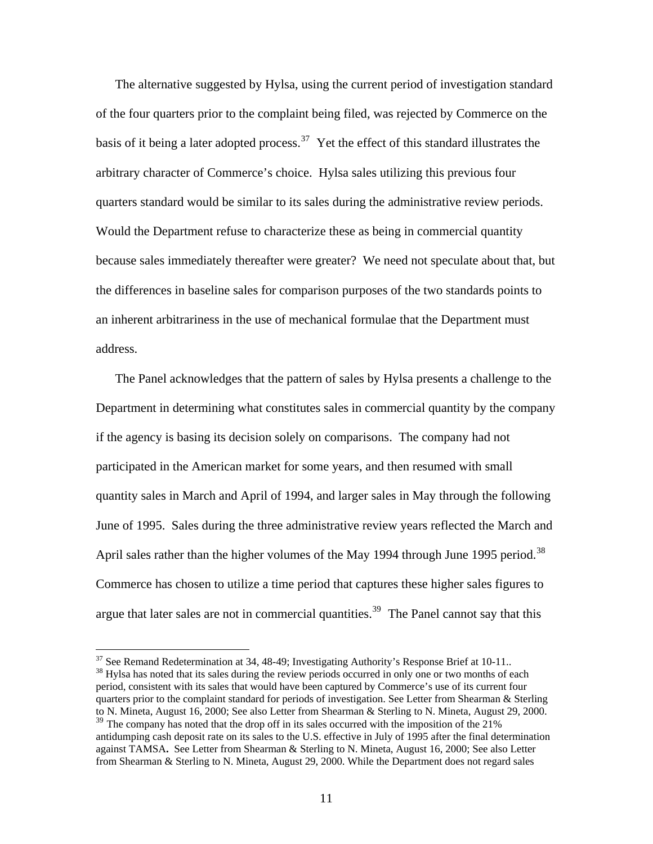The alternative suggested by Hylsa, using the current period of investigation standard of the four quarters prior to the complaint being filed, was rejected by Commerce on the basis of it being a later adopted process.<sup>[37](#page-10-0)</sup> Yet the effect of this standard illustrates the arbitrary character of Commerce's choice. Hylsa sales utilizing this previous four quarters standard would be similar to its sales during the administrative review periods. Would the Department refuse to characterize these as being in commercial quantity because sales immediately thereafter were greater? We need not speculate about that, but the differences in baseline sales for comparison purposes of the two standards points to an inherent arbitrariness in the use of mechanical formulae that the Department must address.

The Panel acknowledges that the pattern of sales by Hylsa presents a challenge to the Department in determining what constitutes sales in commercial quantity by the company if the agency is basing its decision solely on comparisons. The company had not participated in the American market for some years, and then resumed with small quantity sales in March and April of 1994, and larger sales in May through the following June of 1995. Sales during the three administrative review years reflected the March and April sales rather than the higher volumes of the May 1994 through June 1995 period.<sup>[38](#page-10-1)</sup> Commerce has chosen to utilize a time period that captures these higher sales figures to argue that later sales are not in commercial quantities.<sup>[39](#page-10-2)</sup> The Panel cannot say that this

<span id="page-10-1"></span><span id="page-10-0"></span> $37$  See Remand Redetermination at 34, 48-49; Investigating Authority's Response Brief at 10-11. <sup>38</sup> Hylsa has noted that its sales during the review periods occurred in only one or two months of each

period, consistent with its sales that would have been captured by Commerce's use of its current four quarters prior to the complaint standard for periods of investigation. See Letter from Shearman & Sterling to N. Mineta, August 16, 2000; See also Letter from Shearman & Sterling to N. Mineta, August 29, 2000.

<span id="page-10-2"></span><sup>&</sup>lt;sup>39</sup> The company has noted that the drop off in its sales occurred with the imposition of the 21% antidumping cash deposit rate on its sales to the U.S. effective in July of 1995 after the final determination against TAMSA**.** See Letter from Shearman & Sterling to N. Mineta, August 16, 2000; See also Letter from Shearman & Sterling to N. Mineta, August 29, 2000. While the Department does not regard sales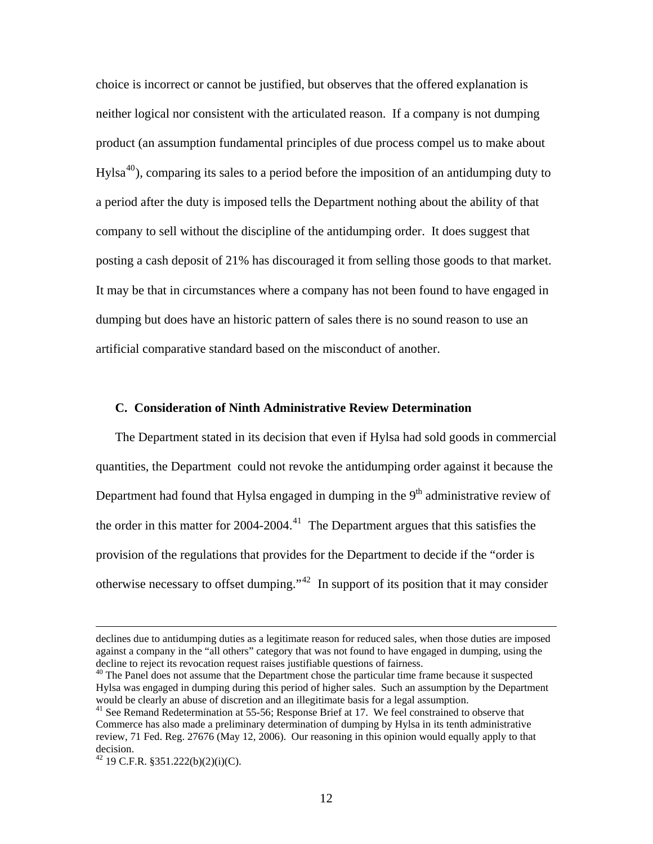choice is incorrect or cannot be justified, but observes that the offered explanation is neither logical nor consistent with the articulated reason. If a company is not dumping product (an assumption fundamental principles of due process compel us to make about  $Hylsa<sup>40</sup>$  $Hylsa<sup>40</sup>$  $Hylsa<sup>40</sup>$ , comparing its sales to a period before the imposition of an antidumping duty to a period after the duty is imposed tells the Department nothing about the ability of that company to sell without the discipline of the antidumping order. It does suggest that posting a cash deposit of 21% has discouraged it from selling those goods to that market. It may be that in circumstances where a company has not been found to have engaged in dumping but does have an historic pattern of sales there is no sound reason to use an artificial comparative standard based on the misconduct of another.

#### **C. Consideration of Ninth Administrative Review Determination**

The Department stated in its decision that even if Hylsa had sold goods in commercial quantities, the Department could not revoke the antidumping order against it because the Department had found that Hylsa engaged in dumping in the  $9<sup>th</sup>$  administrative review of the order in this matter for  $2004-2004$ .<sup>[41](#page-11-1)</sup> The Department argues that this satisfies the provision of the regulations that provides for the Department to decide if the "order is otherwise necessary to offset dumping."[42](#page-11-2) In support of its position that it may consider

declines due to antidumping duties as a legitimate reason for reduced sales, when those duties are imposed against a company in the "all others" category that was not found to have engaged in dumping, using the decline to reject its revocation request raises justifiable questions of fairness.<br><sup>40</sup> The Panel does not assume that the Department chose the particular time frame because it suspected

<span id="page-11-0"></span>Hylsa was engaged in dumping during this period of higher sales. Such an assumption by the Department would be clearly an abuse of discretion and an illegitimate basis for a legal assumption.<br><sup>41</sup> See Remand Redetermination at 55-56; Response Brief at 17. We feel constrained to observe that

<span id="page-11-1"></span>Commerce has also made a preliminary determination of dumping by Hylsa in its tenth administrative review, 71 Fed. Reg. 27676 (May 12, 2006). Our reasoning in this opinion would equally apply to that decision.

<span id="page-11-2"></span> $42$  19 C.F.R. §351.222(b)(2)(i)(C).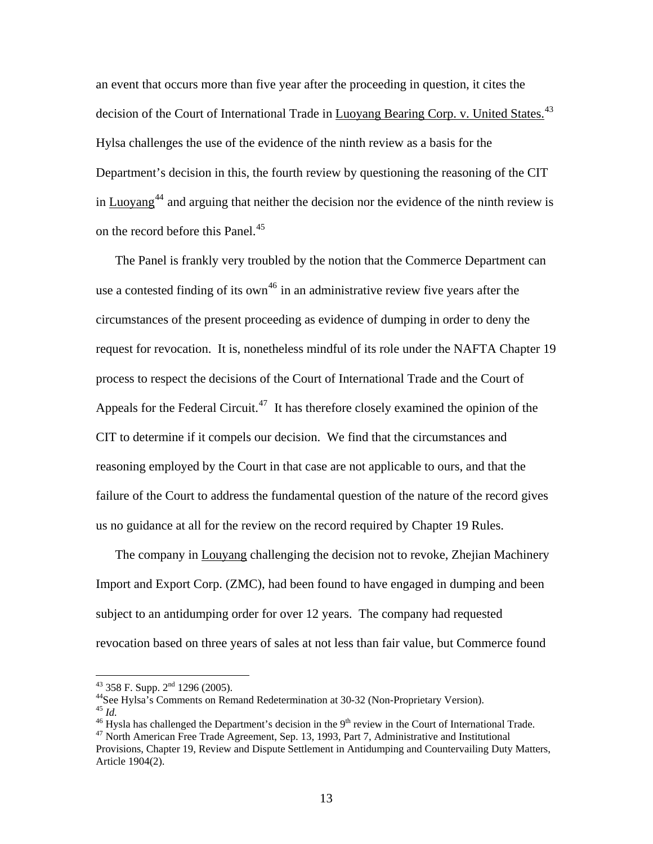an event that occurs more than five year after the proceeding in question, it cites the decision of the Court of International Trade in Luoyang Bearing Corp. v. United States.<sup>[43](#page-12-0)</sup> Hylsa challenges the use of the evidence of the ninth review as a basis for the Department's decision in this, the fourth review by questioning the reasoning of the CIT in Luoyang<sup>[44](#page-12-1)</sup> and arguing that neither the decision nor the evidence of the ninth review is on the record before this Panel.<sup>[45](#page-12-2)</sup>

The Panel is frankly very troubled by the notion that the Commerce Department can use a contested finding of its own<sup>[46](#page-12-3)</sup> in an administrative review five years after the circumstances of the present proceeding as evidence of dumping in order to deny the request for revocation. It is, nonetheless mindful of its role under the NAFTA Chapter 19 process to respect the decisions of the Court of International Trade and the Court of Appeals for the Federal Circuit.<sup>[47](#page-12-4)</sup> It has therefore closely examined the opinion of the CIT to determine if it compels our decision. We find that the circumstances and reasoning employed by the Court in that case are not applicable to ours, and that the failure of the Court to address the fundamental question of the nature of the record gives us no guidance at all for the review on the record required by Chapter 19 Rules.

The company in Louyang challenging the decision not to revoke, Zhejian Machinery Import and Export Corp. (ZMC), had been found to have engaged in dumping and been subject to an antidumping order for over 12 years. The company had requested revocation based on three years of sales at not less than fair value, but Commerce found

<span id="page-12-0"></span> $43$  358 F. Supp.  $2<sup>nd</sup>$  1296 (2005).

<span id="page-12-1"></span><sup>&</sup>lt;sup>44</sup> See Hylsa's Comments on Remand Redetermination at 30-32 (Non-Proprietary Version). <sup>45</sup> *Id*.

<span id="page-12-3"></span><span id="page-12-2"></span><sup>&</sup>lt;sup>46</sup> Hysla has challenged the Department's decision in the 9<sup>th</sup> review in the Court of International Trade.  $^{47}$  North American Free Trade Agreement, Sep. 13, 1993, Part 7, Administrative and Institutional

<span id="page-12-4"></span>Provisions, Chapter 19, Review and Dispute Settlement in Antidumping and Countervailing Duty Matters, Article 1904(2).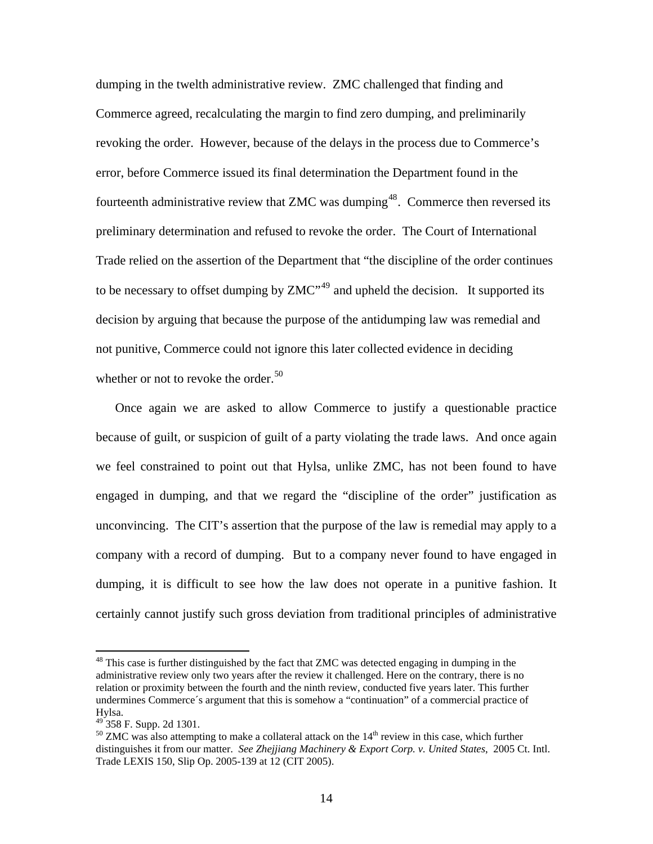dumping in the twelth administrative review. ZMC challenged that finding and Commerce agreed, recalculating the margin to find zero dumping, and preliminarily revoking the order. However, because of the delays in the process due to Commerce's error, before Commerce issued its final determination the Department found in the fourteenth administrative review that ZMC was dumping<sup>[48](#page-13-0)</sup>. Commerce then reversed its preliminary determination and refused to revoke the order. The Court of International Trade relied on the assertion of the Department that "the discipline of the order continues to be necessary to offset dumping by  $ZMC^{49}$  $ZMC^{49}$  $ZMC^{49}$  and upheld the decision. It supported its decision by arguing that because the purpose of the antidumping law was remedial and not punitive, Commerce could not ignore this later collected evidence in deciding whether or not to revoke the order.<sup>[50](#page-13-2)</sup>

Once again we are asked to allow Commerce to justify a questionable practice because of guilt, or suspicion of guilt of a party violating the trade laws. And once again we feel constrained to point out that Hylsa, unlike ZMC, has not been found to have engaged in dumping, and that we regard the "discipline of the order" justification as unconvincing. The CIT's assertion that the purpose of the law is remedial may apply to a company with a record of dumping. But to a company never found to have engaged in dumping, it is difficult to see how the law does not operate in a punitive fashion. It certainly cannot justify such gross deviation from traditional principles of administrative

<span id="page-13-0"></span><sup>&</sup>lt;sup>48</sup> This case is further distinguished by the fact that ZMC was detected engaging in dumping in the administrative review only two years after the review it challenged. Here on the contrary, there is no relation or proximity between the fourth and the ninth review, conducted five years later. This further undermines Commerce´s argument that this is somehow a "continuation" of a commercial practice of Hylsa.

 $49$  358 F. Supp. 2d 1301.

<span id="page-13-2"></span><span id="page-13-1"></span> $50$  ZMC was also attempting to make a collateral attack on the  $14<sup>th</sup>$  review in this case, which further distinguishes it from our matter. *See Zhejjiang Machinery & Export Corp. v. United States*, 2005 Ct. Intl. Trade LEXIS 150, Slip Op. 2005-139 at 12 (CIT 2005).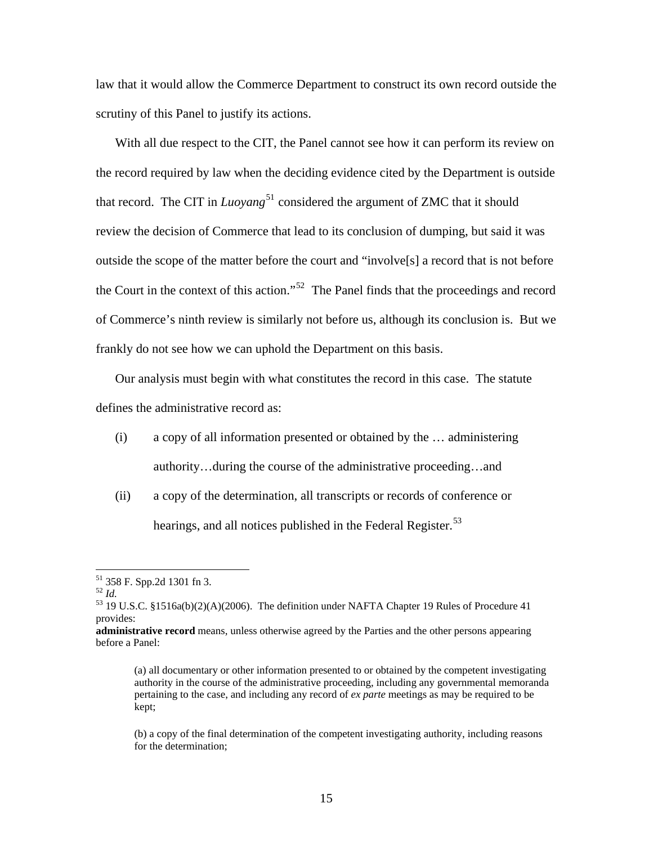law that it would allow the Commerce Department to construct its own record outside the scrutiny of this Panel to justify its actions.

With all due respect to the CIT, the Panel cannot see how it can perform its review on the record required by law when the deciding evidence cited by the Department is outside that record. The CIT in  $\mu\nu\rho\rho s^5$  considered the argument of ZMC that it should review the decision of Commerce that lead to its conclusion of dumping, but said it was outside the scope of the matter before the court and "involve[s] a record that is not before the Court in the context of this action."<sup>[52](#page-14-1)</sup> The Panel finds that the proceedings and record of Commerce's ninth review is similarly not before us, although its conclusion is. But we frankly do not see how we can uphold the Department on this basis.

Our analysis must begin with what constitutes the record in this case. The statute defines the administrative record as:

- (i) a copy of all information presented or obtained by the … administering authority…during the course of the administrative proceeding…and
- (ii) a copy of the determination, all transcripts or records of conference or hearings, and all notices published in the Federal Register.<sup>[53](#page-14-2)</sup>

 $\overline{a}$ 

(b) a copy of the final determination of the competent investigating authority, including reasons for the determination;

<sup>51 358</sup> F. Spp.2d 1301 fn 3.

<span id="page-14-2"></span><span id="page-14-1"></span><span id="page-14-0"></span><sup>&</sup>lt;sup>52</sup> *Id.*<br><sup>53</sup> 19 U.S.C. §1516a(b)(2)(A)(2006). The definition under NAFTA Chapter 19 Rules of Procedure 41 provides:

**administrative record** means, unless otherwise agreed by the Parties and the other persons appearing before a Panel:

<sup>(</sup>a) all documentary or other information presented to or obtained by the competent investigating authority in the course of the administrative proceeding, including any governmental memoranda pertaining to the case, and including any record of *ex parte* meetings as may be required to be kept;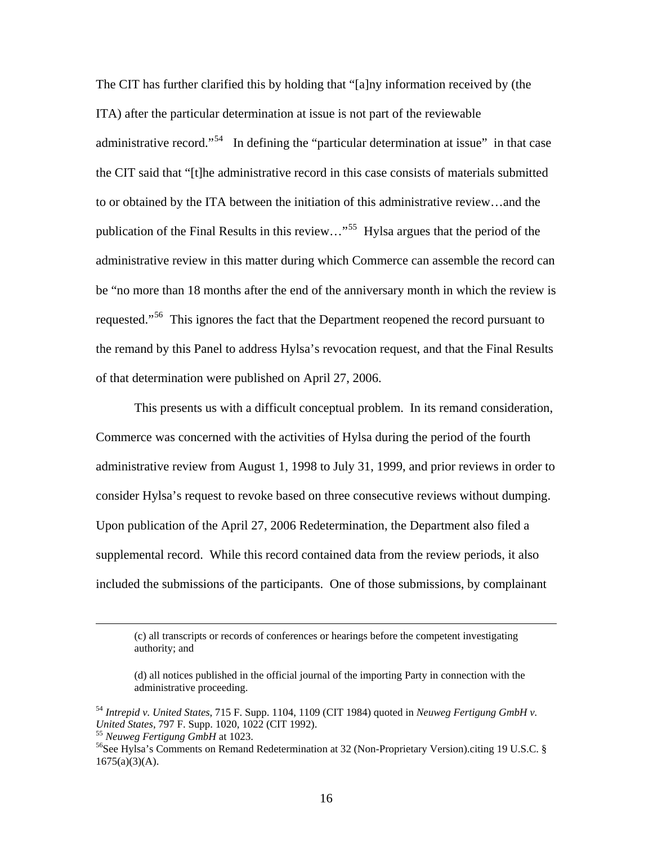The CIT has further clarified this by holding that "[a]ny information received by (the ITA) after the particular determination at issue is not part of the reviewable administrative record."<sup>[54](#page-15-0)</sup> In defining the "particular determination at issue" in that case the CIT said that "[t]he administrative record in this case consists of materials submitted to or obtained by the ITA between the initiation of this administrative review…and the publication of the Final Results in this review…"[55](#page-15-1) Hylsa argues that the period of the administrative review in this matter during which Commerce can assemble the record can be "no more than 18 months after the end of the anniversary month in which the review is requested."<sup>[56](#page-15-2)</sup> This ignores the fact that the Department reopened the record pursuant to the remand by this Panel to address Hylsa's revocation request, and that the Final Results of that determination were published on April 27, 2006.

 This presents us with a difficult conceptual problem. In its remand consideration, Commerce was concerned with the activities of Hylsa during the period of the fourth administrative review from August 1, 1998 to July 31, 1999, and prior reviews in order to consider Hylsa's request to revoke based on three consecutive reviews without dumping. Upon publication of the April 27, 2006 Redetermination, the Department also filed a supplemental record. While this record contained data from the review periods, it also included the submissions of the participants. One of those submissions, by complainant

 <sup>(</sup>c) all transcripts or records of conferences or hearings before the competent investigating authority; and

<sup>(</sup>d) all notices published in the official journal of the importing Party in connection with the administrative proceeding.

<span id="page-15-0"></span><sup>54</sup> *Intrepid v. United States*, 715 F. Supp. 1104, 1109 (CIT 1984) quoted in *Neuweg Fertigung GmbH v.*  <sup>55</sup> Neuweg Fertigung GmbH at 1023.<br><sup>56</sup>See Hylsa's Comments on Remand Redetermination at 32 (Non-Proprietary Version).citing 19 U.S.C. §

<span id="page-15-1"></span>

<span id="page-15-2"></span> $1675(a)(3)(A)$ .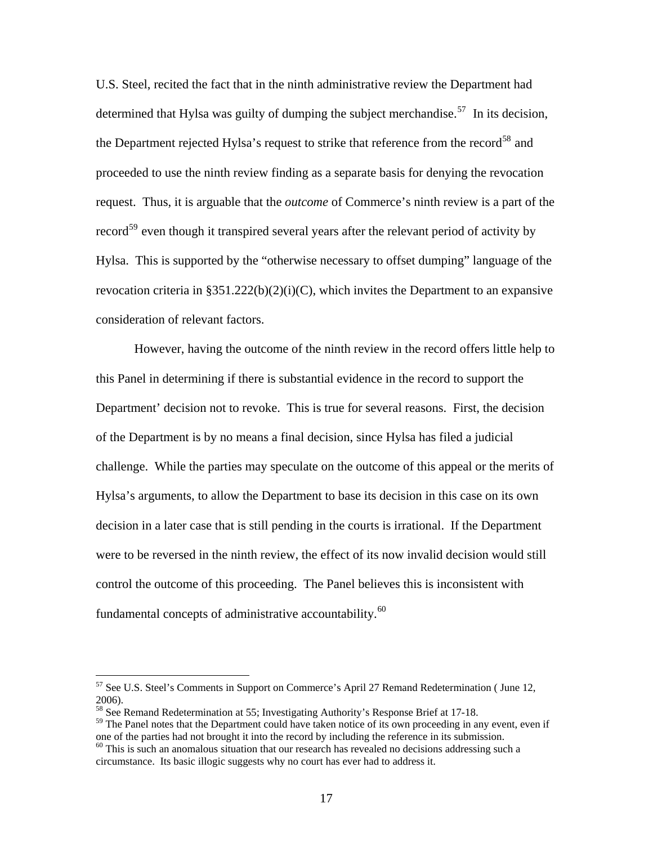U.S. Steel, recited the fact that in the ninth administrative review the Department had determined that Hylsa was guilty of dumping the subject merchandise.<sup>[57](#page-16-0)</sup> In its decision, the Department rejected Hylsa's request to strike that reference from the record<sup>[58](#page-16-1)</sup> and proceeded to use the ninth review finding as a separate basis for denying the revocation request. Thus, it is arguable that the *outcome* of Commerce's ninth review is a part of the record<sup>[59](#page-16-2)</sup> even though it transpired several years after the relevant period of activity by Hylsa. This is supported by the "otherwise necessary to offset dumping" language of the revocation criteria in  $\S 351.222(b)(2)(i)(C)$ , which invites the Department to an expansive consideration of relevant factors.

 However, having the outcome of the ninth review in the record offers little help to this Panel in determining if there is substantial evidence in the record to support the Department' decision not to revoke. This is true for several reasons. First, the decision of the Department is by no means a final decision, since Hylsa has filed a judicial challenge. While the parties may speculate on the outcome of this appeal or the merits of Hylsa's arguments, to allow the Department to base its decision in this case on its own decision in a later case that is still pending in the courts is irrational. If the Department were to be reversed in the ninth review, the effect of its now invalid decision would still control the outcome of this proceeding. The Panel believes this is inconsistent with fundamental concepts of administrative accountability.<sup>[60](#page-16-3)</sup>

<span id="page-16-0"></span> $57$  See U.S. Steel's Comments in Support on Commerce's April 27 Remand Redetermination (June 12, 2006).

<span id="page-16-1"></span><sup>&</sup>lt;sup>58</sup> See Remand Redetermination at 55; Investigating Authority's Response Brief at 17-18.

<span id="page-16-2"></span> $59$  The Panel notes that the Department could have taken notice of its own proceeding in any event, even if one of the parties had not brought it into the record by including the reference in its submission.

<span id="page-16-3"></span><sup>&</sup>lt;sup>60</sup> This is such an anomalous situation that our research has revealed no decisions addressing such a circumstance. Its basic illogic suggests why no court has ever had to address it.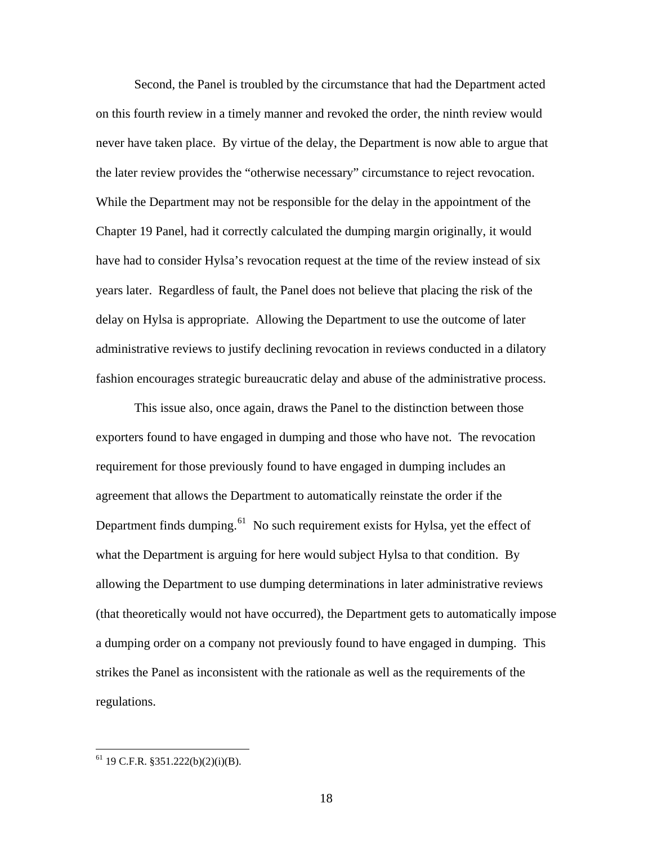Second, the Panel is troubled by the circumstance that had the Department acted on this fourth review in a timely manner and revoked the order, the ninth review would never have taken place. By virtue of the delay, the Department is now able to argue that the later review provides the "otherwise necessary" circumstance to reject revocation. While the Department may not be responsible for the delay in the appointment of the Chapter 19 Panel, had it correctly calculated the dumping margin originally, it would have had to consider Hylsa's revocation request at the time of the review instead of six years later. Regardless of fault, the Panel does not believe that placing the risk of the delay on Hylsa is appropriate. Allowing the Department to use the outcome of later administrative reviews to justify declining revocation in reviews conducted in a dilatory fashion encourages strategic bureaucratic delay and abuse of the administrative process.

 This issue also, once again, draws the Panel to the distinction between those exporters found to have engaged in dumping and those who have not. The revocation requirement for those previously found to have engaged in dumping includes an agreement that allows the Department to automatically reinstate the order if the Department finds dumping. $61$  No such requirement exists for Hylsa, yet the effect of what the Department is arguing for here would subject Hylsa to that condition. By allowing the Department to use dumping determinations in later administrative reviews (that theoretically would not have occurred), the Department gets to automatically impose a dumping order on a company not previously found to have engaged in dumping. This strikes the Panel as inconsistent with the rationale as well as the requirements of the regulations.

<span id="page-17-0"></span> $61$  19 C.F.R. §351.222(b)(2)(i)(B).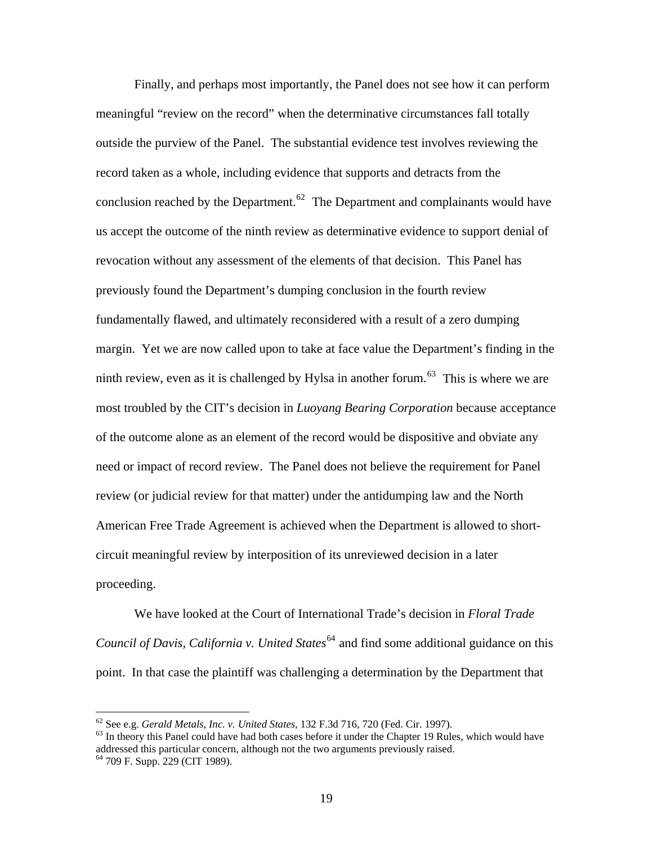Finally, and perhaps most importantly, the Panel does not see how it can perform meaningful "review on the record" when the determinative circumstances fall totally outside the purview of the Panel. The substantial evidence test involves reviewing the record taken as a whole, including evidence that supports and detracts from the conclusion reached by the Department.<sup>[62](#page-18-0)</sup> The Department and complainants would have us accept the outcome of the ninth review as determinative evidence to support denial of revocation without any assessment of the elements of that decision. This Panel has previously found the Department's dumping conclusion in the fourth review fundamentally flawed, and ultimately reconsidered with a result of a zero dumping margin. Yet we are now called upon to take at face value the Department's finding in the ninth review, even as it is challenged by Hylsa in another forum.<sup>[63](#page-18-1)</sup> This is where we are most troubled by the CIT's decision in *Luoyang Bearing Corporation* because acceptance of the outcome alone as an element of the record would be dispositive and obviate any need or impact of record review. The Panel does not believe the requirement for Panel review (or judicial review for that matter) under the antidumping law and the North American Free Trade Agreement is achieved when the Department is allowed to shortcircuit meaningful review by interposition of its unreviewed decision in a later proceeding.

 We have looked at the Court of International Trade's decision in *Floral Trade Council of Davis, California v. United States*<sup>[64](#page-18-2)</sup> and find some additional guidance on this point. In that case the plaintiff was challenging a determination by the Department that

 $62$  See e.g. Gerald Metals, Inc. v. United States, 132 F.3d 716, 720 (Fed. Cir. 1997).

<span id="page-18-1"></span><span id="page-18-0"></span><sup>&</sup>lt;sup>63</sup> In theory this Panel could have had both cases before it under the Chapter 19 Rules, which would have addressed this particular concern, although not the two arguments previously raised. 64 709 F. Supp. 229 (CIT 1989).

<span id="page-18-2"></span>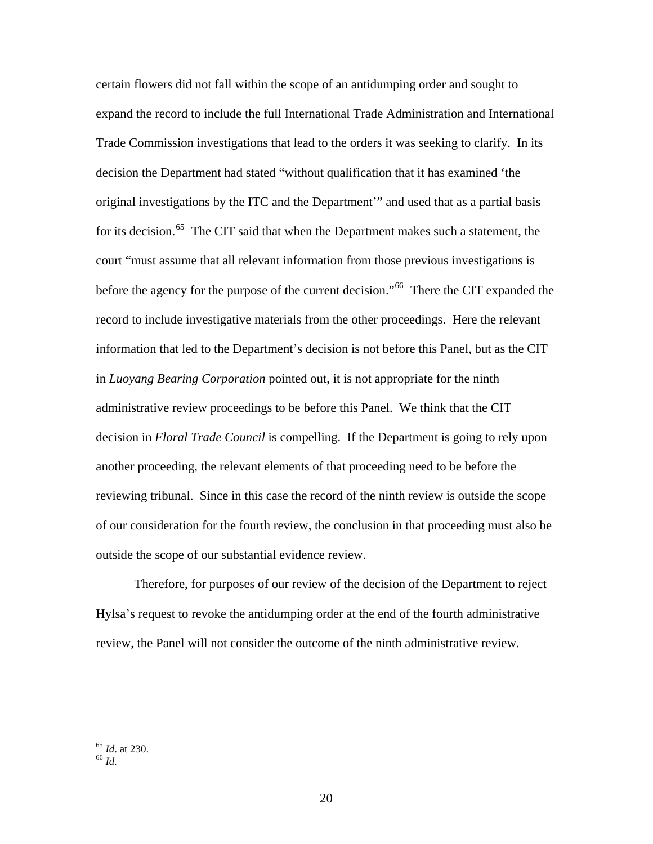certain flowers did not fall within the scope of an antidumping order and sought to expand the record to include the full International Trade Administration and International Trade Commission investigations that lead to the orders it was seeking to clarify. In its decision the Department had stated "without qualification that it has examined 'the original investigations by the ITC and the Department'" and used that as a partial basis for its decision.<sup>[65](#page-19-0)</sup> The CIT said that when the Department makes such a statement, the court "must assume that all relevant information from those previous investigations is before the agency for the purpose of the current decision."<sup>[66](#page-19-1)</sup> There the CIT expanded the record to include investigative materials from the other proceedings. Here the relevant information that led to the Department's decision is not before this Panel, but as the CIT in *Luoyang Bearing Corporation* pointed out, it is not appropriate for the ninth administrative review proceedings to be before this Panel. We think that the CIT decision in *Floral Trade Council* is compelling. If the Department is going to rely upon another proceeding, the relevant elements of that proceeding need to be before the reviewing tribunal. Since in this case the record of the ninth review is outside the scope of our consideration for the fourth review, the conclusion in that proceeding must also be outside the scope of our substantial evidence review.

Therefore, for purposes of our review of the decision of the Department to reject Hylsa's request to revoke the antidumping order at the end of the fourth administrative review, the Panel will not consider the outcome of the ninth administrative review.

<span id="page-19-1"></span><span id="page-19-0"></span><sup>65</sup> *Id*. at 230. 66 *Id.*